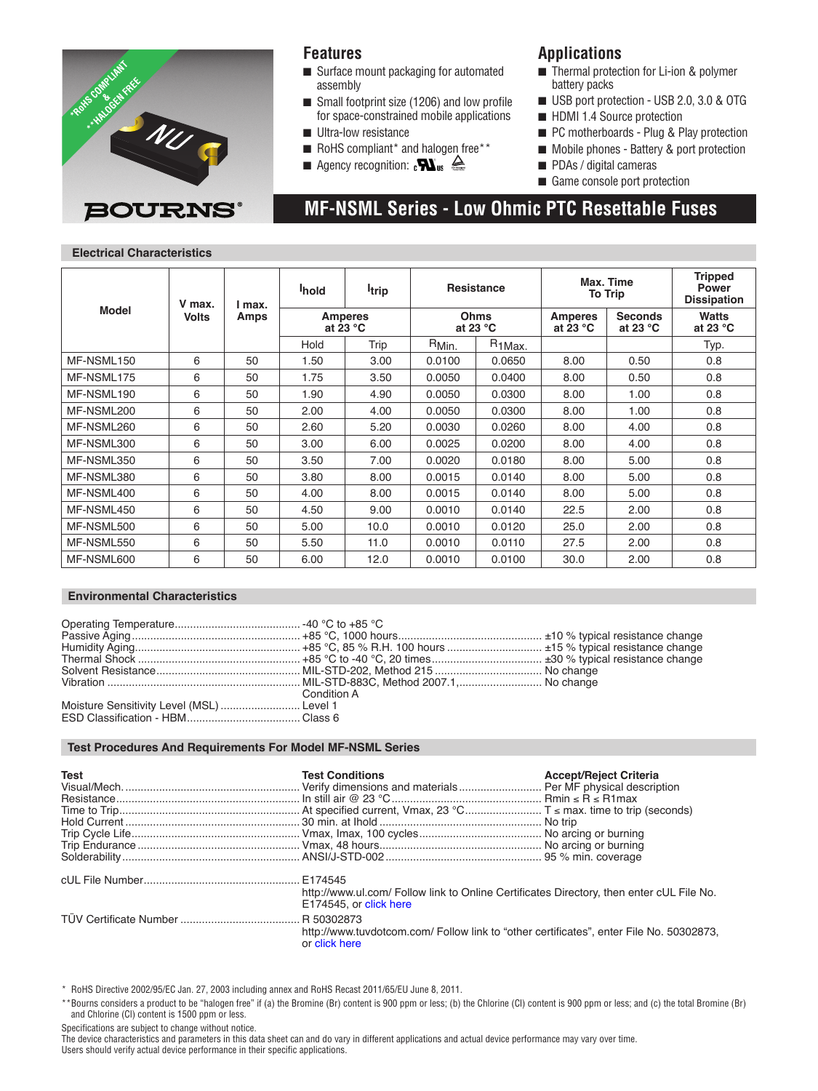

### **Features**

- Surface mount packaging for automated assembly
- $\blacksquare$  Small footprint size (1206) and low profile for space-constrained mobile applications **N** Ultra-low resistance
- 
- $\blacksquare$  RoHS compliant\* and halogen free\*\*
- Agency recognition:  $\mathbf{N}_{\text{us}} \triangleq$

### **Applications**

- $\blacksquare$  Thermal protection for Li-ion & polymer battery packs
- USB port protection USB 2.0, 3.0 & OTG
- $\blacksquare$  HDMI 1.4 Source protection
- PC motherboards Plug & Play protection
- Mobile phones Battery & port protection
- **n** PDAs / digital cameras

 **MF-NSML Series - Low Ohmic PTC Resettable Fuses**

 $\blacksquare$  Game console port protection

### **Electrical Characteristics**

|              | V max.<br><b>Volts</b> | l max.<br>Amps | <b>I</b> hold                        | <b>I</b> trip | <b>Resistance</b>                 |                     | Max. Time<br><b>To Trip</b>  |                              | <b>Tripped</b><br><b>Power</b><br><b>Dissipation</b> |
|--------------|------------------------|----------------|--------------------------------------|---------------|-----------------------------------|---------------------|------------------------------|------------------------------|------------------------------------------------------|
| <b>Model</b> |                        |                | <b>Amperes</b><br>at 23 $^{\circ}$ C |               | <b>Ohms</b><br>at 23 $^{\circ}$ C |                     | <b>Amperes</b><br>at 23 $°C$ | <b>Seconds</b><br>at 23 $°C$ | <b>Watts</b><br>at 23 $^{\circ}$ C                   |
|              |                        |                | Hold                                 | Trip          | R <sub>Min.</sub>                 | R <sub>1</sub> Max. |                              |                              | Typ.                                                 |
| MF-NSML150   | 6                      | 50             | 1.50                                 | 3.00          | 0.0100                            | 0.0650              | 8.00                         | 0.50                         | 0.8                                                  |
| MF-NSML175   | 6                      | 50             | 1.75                                 | 3.50          | 0.0050                            | 0.0400              | 8.00                         | 0.50                         | 0.8                                                  |
| MF-NSML190   | 6                      | 50             | 1.90                                 | 4.90          | 0.0050                            | 0.0300              | 8.00                         | 1.00                         | 0.8                                                  |
| MF-NSML200   | 6                      | 50             | 2.00                                 | 4.00          | 0.0050                            | 0.0300              | 8.00                         | 1.00                         | 0.8                                                  |
| MF-NSML260   | 6                      | 50             | 2.60                                 | 5.20          | 0.0030                            | 0.0260              | 8.00                         | 4.00                         | 0.8                                                  |
| MF-NSML300   | 6                      | 50             | 3.00                                 | 6.00          | 0.0025                            | 0.0200              | 8.00                         | 4.00                         | 0.8                                                  |
| MF-NSML350   | 6                      | 50             | 3.50                                 | 7.00          | 0.0020                            | 0.0180              | 8.00                         | 5.00                         | 0.8                                                  |
| MF-NSML380   | 6                      | 50             | 3.80                                 | 8.00          | 0.0015                            | 0.0140              | 8.00                         | 5.00                         | 0.8                                                  |
| MF-NSML400   | 6                      | 50             | 4.00                                 | 8.00          | 0.0015                            | 0.0140              | 8.00                         | 5.00                         | 0.8                                                  |
| MF-NSML450   | 6                      | 50             | 4.50                                 | 9.00          | 0.0010                            | 0.0140              | 22.5                         | 2.00                         | 0.8                                                  |
| MF-NSML500   | 6                      | 50             | 5.00                                 | 10.0          | 0.0010                            | 0.0120              | 25.0                         | 2.00                         | 0.8                                                  |
| MF-NSML550   | 6                      | 50             | 5.50                                 | 11.0          | 0.0010                            | 0.0110              | 27.5                         | 2.00                         | 0.8                                                  |
| MF-NSML600   | 6                      | 50             | 6.00                                 | 12.0          | 0.0010                            | 0.0100              | 30.0                         | 2.00                         | 0.8                                                  |

#### **Environmental Characteristics**

|                                           | Condition A |  |
|-------------------------------------------|-------------|--|
| Moisture Sensitivity Level (MSL)  Level 1 |             |  |
|                                           |             |  |

### **Test Procedures And Requirements For Model MF-NSML Series**

| <b>Test</b> | <b>Test Conditions</b>                                                                                            | <b>Accept/Reject Criteria</b> |
|-------------|-------------------------------------------------------------------------------------------------------------------|-------------------------------|
|             |                                                                                                                   |                               |
|             |                                                                                                                   |                               |
|             |                                                                                                                   |                               |
|             |                                                                                                                   |                               |
|             |                                                                                                                   |                               |
|             |                                                                                                                   |                               |
|             |                                                                                                                   |                               |
|             |                                                                                                                   |                               |
|             | http://www.ul.com/Follow link to Online Certificates Directory, then enter cUL File No.<br>E174545, or click here |                               |
|             | http://www.tuvdotcom.com/ Follow link to "other certificates", enter File No. 50302873,<br>or click here          |                               |

\* RoHS Directive 2002/95/EC Jan. 27, 2003 including annex and RoHS Recast 2011/65/EU June 8, 2011.

\*\*Bourns considers a product to be "halogen free" if (a) the Bromine (Br) content is 900 ppm or less; (b) the Chlorine (Cl) content is 900 ppm or less; and (c) the total Bromine (Br) and Chlorine (Cl) content is 1500 ppm or less.

Specifications are subject to change without notice.

The device characteristics and parameters in this data sheet can and do vary in different applications and actual device performance may vary over time. Users should verify actual device performance in their specific applications.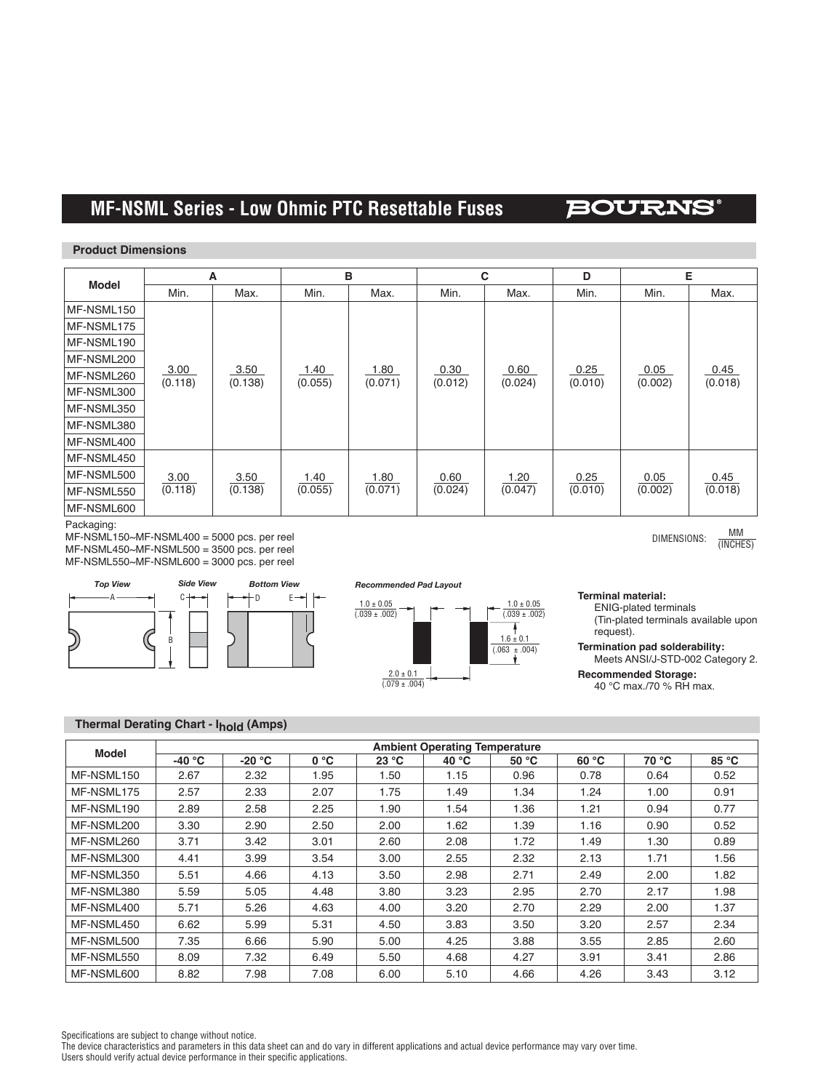## **MF-NSMF Series - PTC Resettable Fuses MF-NSML Series - Low Ohmic PTC Resettable Fuses**

### BOURNS

#### **Product Dimensions**

|              | Α               |                 | в               |                 | C               |                 | D               | Е               |                 |
|--------------|-----------------|-----------------|-----------------|-----------------|-----------------|-----------------|-----------------|-----------------|-----------------|
| <b>Model</b> | Min.            | Max.            | Min.            | Max.            | Min.            | Max.            | Min.            | Min.            | Max.            |
| MF-NSML150   |                 |                 |                 |                 |                 |                 |                 |                 |                 |
| MF-NSML175   |                 |                 |                 |                 |                 |                 |                 |                 |                 |
| MF-NSML190   |                 |                 |                 |                 |                 |                 |                 |                 |                 |
| MF-NSML200   |                 |                 |                 |                 |                 |                 |                 |                 |                 |
| MF-NSML260   | 3.00<br>(0.118) | 3.50<br>(0.138) | 1.40<br>(0.055) | 1.80<br>(0.071) | 0.30<br>(0.012) | 0.60<br>(0.024) | 0.25<br>(0.010) | 0.05<br>(0.002) | 0.45<br>(0.018) |
| MF-NSML300   |                 |                 |                 |                 |                 |                 |                 |                 |                 |
| MF-NSML350   |                 |                 |                 |                 |                 |                 |                 |                 |                 |
| MF-NSML380   |                 |                 |                 |                 |                 |                 |                 |                 |                 |
| MF-NSML400   |                 |                 |                 |                 |                 |                 |                 |                 |                 |
| MF-NSML450   |                 |                 |                 |                 |                 |                 |                 |                 |                 |
| MF-NSML500   | 3.00            | 3.50            | 1.40            | 1.80            | 0.60            | 1.20            | 0.25            | 0.05            | 0.45            |
| MF-NSML550   | (0.118)         | (0.138)         | (0.055)         | (0.071)         | (0.024)         | (0.047)         | (0.010)         | (0.002)         | (0.018)         |
| MF-NSML600   |                 |                 |                 |                 |                 |                 |                 |                 |                 |

Packaging:

MF-NSML150~MF-NSML400 = 5000 pcs. per reel MF-NSML450~MF-NSML500 = 3500 pcs. per reel MF-NSML550~MF-NSML600 = 3000 pcs. per reel







**Terminal material:**

ENIG-plated terminals (Tin-plated terminals available upon request).

DIMENSIONS:  $\frac{MM}{MMCUT}$ 

(INCHES)

**Termination pad solderability:** Meets ANSI/J-STD-002 Category 2.

**Recommended Storage:**

40 °C max./70 % RH max.

### **Thermal Derating Chart - Ihold (Amps)**

| Model      | <b>Ambient Operating Temperature</b> |          |      |       |         |       |       |       |       |  |
|------------|--------------------------------------|----------|------|-------|---------|-------|-------|-------|-------|--|
|            | $-40 °C$                             | $-20 °C$ | 0 °C | 23 °C | 40 $°C$ | 50 °C | 60 °C | 70 °C | 85 °C |  |
| MF-NSML150 | 2.67                                 | 2.32     | 1.95 | 1.50  | 1.15    | 0.96  | 0.78  | 0.64  | 0.52  |  |
| MF-NSML175 | 2.57                                 | 2.33     | 2.07 | 1.75  | 1.49    | 1.34  | 1.24  | 1.00  | 0.91  |  |
| MF-NSML190 | 2.89                                 | 2.58     | 2.25 | 1.90  | 1.54    | 1.36  | 1.21  | 0.94  | 0.77  |  |
| MF-NSML200 | 3.30                                 | 2.90     | 2.50 | 2.00  | 1.62    | 1.39  | 1.16  | 0.90  | 0.52  |  |
| MF-NSML260 | 3.71                                 | 3.42     | 3.01 | 2.60  | 2.08    | 1.72  | 1.49  | 1.30  | 0.89  |  |
| MF-NSML300 | 4.41                                 | 3.99     | 3.54 | 3.00  | 2.55    | 2.32  | 2.13  | 1.71  | 1.56  |  |
| MF-NSML350 | 5.51                                 | 4.66     | 4.13 | 3.50  | 2.98    | 2.71  | 2.49  | 2.00  | 1.82  |  |
| MF-NSML380 | 5.59                                 | 5.05     | 4.48 | 3.80  | 3.23    | 2.95  | 2.70  | 2.17  | 1.98  |  |
| MF-NSML400 | 5.71                                 | 5.26     | 4.63 | 4.00  | 3.20    | 2.70  | 2.29  | 2.00  | 1.37  |  |
| MF-NSML450 | 6.62                                 | 5.99     | 5.31 | 4.50  | 3.83    | 3.50  | 3.20  | 2.57  | 2.34  |  |
| MF-NSML500 | 7.35                                 | 6.66     | 5.90 | 5.00  | 4.25    | 3.88  | 3.55  | 2.85  | 2.60  |  |
| MF-NSML550 | 8.09                                 | 7.32     | 6.49 | 5.50  | 4.68    | 4.27  | 3.91  | 3.41  | 2.86  |  |
| MF-NSML600 | 8.82                                 | 7.98     | 7.08 | 6.00  | 5.10    | 4.66  | 4.26  | 3.43  | 3.12  |  |

Specifications are subject to change without notice.

The device characteristics and parameters in this data sheet can and do vary in different applications and actual device performance may vary over time. Users should verify actual device performance in their specific applications.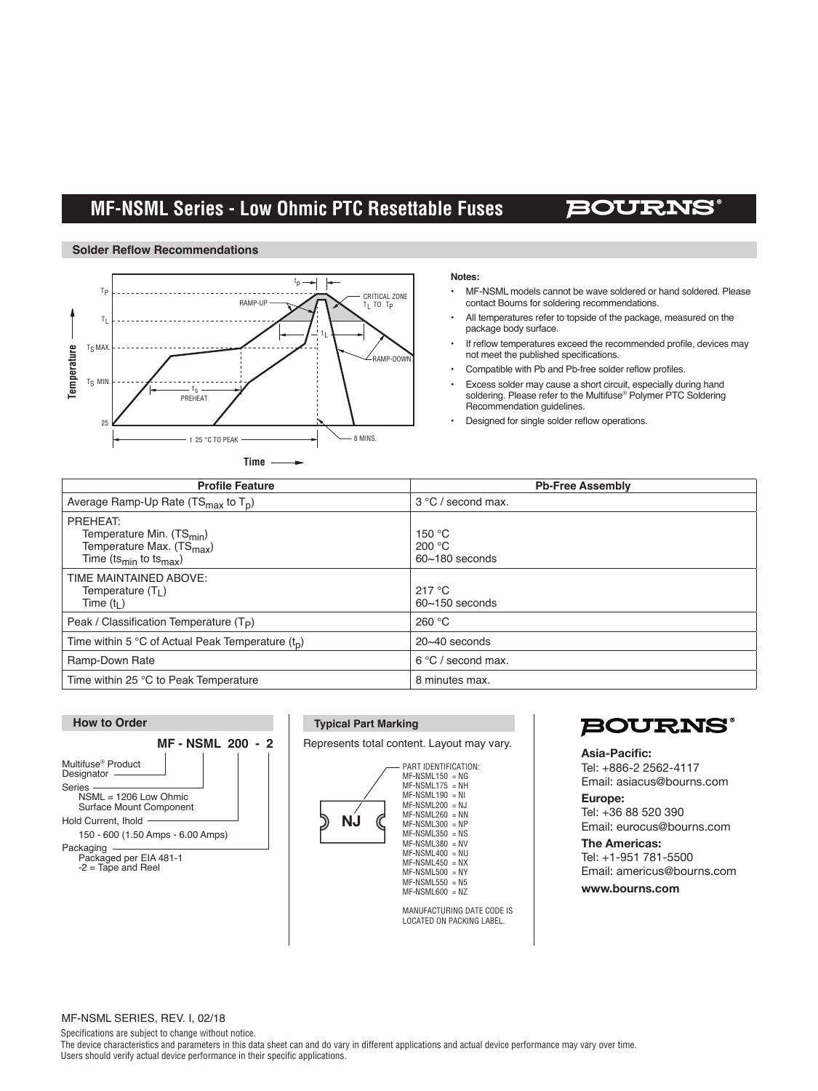## **3312 - 2 mm SMD Trimming Potentiometer MF-NSML Series - Low Ohmic PTC Resettable Fuses**

## **BOURN**

#### **Solder Reflow Recommendations**



#### **Notes:**

- MF-NSML models cannot be wave soldered or hand soldered. Please contact Bourns for soldering recommendations.
- All temperatures refer to topside of the package, measured on the package body surface.
- If reflow temperatures exceed the recommended profile, devices may not meet the published specifications.
- Compatible with Pb and Pb-free solder reflow profiles.
- Excess solder may cause a short circuit, especially during hand soldering. Please refer to the Multifuse® Polymer PTC Soldering Recommendation guidelines.
- Designed for single solder reflow operations.

| <b>Profile Feature</b>                                                                                                                       | <b>Pb-Free Assembly</b>                                |
|----------------------------------------------------------------------------------------------------------------------------------------------|--------------------------------------------------------|
| Average Ramp-Up Rate $(TS_{max}$ to $T_D)$                                                                                                   | 3 °C / second max.                                     |
| PREHEAT:<br>Temperature Min. (TS <sub>min</sub> )<br>Temperature Max. (TS <sub>max</sub> )<br>Time (ts <sub>min</sub> to ts <sub>max</sub> ) | 150 $\degree$ C<br>200 $\degree$ C<br>$60-180$ seconds |
| TIME MAINTAINED ABOVE:<br>Temperature $(T_1)$<br>Time $(t1)$                                                                                 | 217 °C<br>$60 - 150$ seconds                           |
| Peak / Classification Temperature $(T_P)$                                                                                                    | 260 °C                                                 |
| Time within 5 °C of Actual Peak Temperature $(t_n)$                                                                                          | $20 - 40$ seconds                                      |
| Ramp-Down Rate                                                                                                                               | $6^{\circ}$ C / second max.                            |
| Time within 25 °C to Peak Temperature                                                                                                        | 8 minutes max.                                         |



| <b>Typical Part Marking</b> |                                                                                                                                                                                                                                                                                                | <b>BOUI</b>                                                                                                                  |
|-----------------------------|------------------------------------------------------------------------------------------------------------------------------------------------------------------------------------------------------------------------------------------------------------------------------------------------|------------------------------------------------------------------------------------------------------------------------------|
|                             | Represents total content. Layout may vary.<br>PART IDENTIFICATION:<br>$MF-NSML150 = NG$<br>$MF-NSML175 = NH$                                                                                                                                                                                   | Asia-Pacific:<br>Tel: +886-2 256<br>Email: asiacus@                                                                          |
| ΝJ                          | $MF-NSML190 = NI$<br>$MF-NSML200 = NJ$<br>$MF-NSML260 = NN$<br>$MF-NSML300 = NP$<br>$MF-NSML350 = NS$<br>$MF-NSML380$ = NV<br>$MF-NSML400 = NU$<br>$MF-NSML450 = NX$<br>$MF-NSML500 = NY$<br>$MF-NSML550 = N5$<br>$MF-NSML600 = NZ$<br>MANUFACTURING DATE CODE IS<br>LOCATED ON PACKING LABEL. | Europe:<br>Tel: +36 88 520<br>Email: eurocus@<br><b>The Americas:</b><br>Tel: +1-951 781<br>Email: americus<br>www.bourns.co |

## **BOURNS®**

If unacceptable, determine cause and correct prior to Tel: +886-2 2562-4117 1. Water soluble solder paste only above 100K. Tel: +36 88 520 390 **Asia-Pacific:**  Email: asiacus@bourns.com **Europe:** 

<sup>NP</sup><br>NS

 $\frac{3.00}{N}$  Tel: +1-951 781-5500 testing must see a peak temperature in the reflow zone, as specified. This is to ensure that all test Email: americus@bourns.com **units with www.bourns.com** 

#### MF-NSML SERIES, REV. I, 02/18

Specifications are subject to change without notice.

The device characteristics and parameters in this data sheet can and do vary in different applications and actual device performance may vary over time. Users should verify actual device performance in their specific applications.